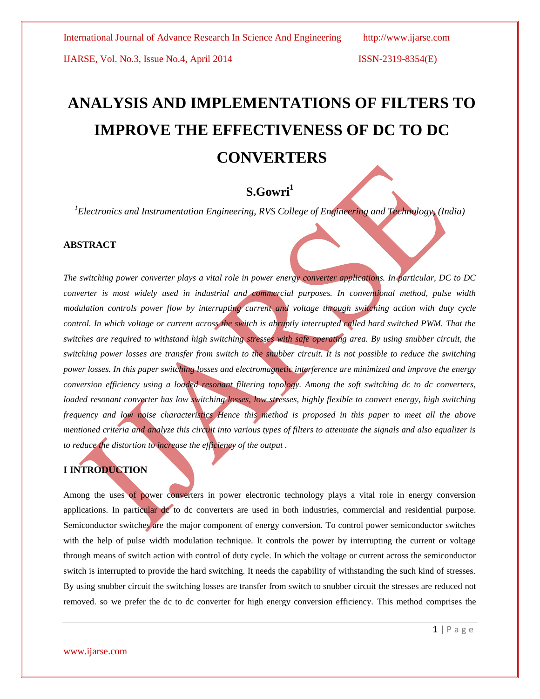# **ANALYSIS AND IMPLEMENTATIONS OF FILTERS TO IMPROVE THE EFFECTIVENESS OF DC TO DC CONVERTERS**

# **S.Gowri<sup>1</sup>**

*<sup>1</sup>Electronics and Instrumentation Engineering, RVS College of Engineering and Technology, (India)*

# **ABSTRACT**

*The switching power converter plays a vital role in power energy converter applications. In particular, DC to DC converter is most widely used in industrial and commercial purposes. In conventional method, pulse width modulation controls power flow by interrupting current and voltage through switching action with duty cycle control. In which voltage or current across the switch is abruptly interrupted called hard switched PWM. That the switches are required to withstand high switching stresses with safe operating area. By using snubber circuit, the switching power losses are transfer from switch to the snubber circuit. It is not possible to reduce the switching power losses. In this paper switching losses and electromagnetic interference are minimized and improve the energy conversion efficiency using a loaded resonant filtering topology. Among the soft switching dc to dc converters, loaded resonant converter has low switching losses, low stresses, highly flexible to convert energy, high switching frequency and low noise characteristics Hence this method is proposed in this paper to meet all the above mentioned criteria and analyze this circuit into various types of filters to attenuate the signals and also equalizer is to reduce the distortion to increase the efficiency of the output .*

# **I INTRODUCTION**

Among the uses of power converters in power electronic technology plays a vital role in energy conversion applications. In particular de to dc converters are used in both industries, commercial and residential purpose. Semiconductor switches are the major component of energy conversion. To control power semiconductor switches with the help of pulse width modulation technique. It controls the power by interrupting the current or voltage through means of switch action with control of duty cycle. In which the voltage or current across the semiconductor switch is interrupted to provide the hard switching. It needs the capability of withstanding the such kind of stresses. By using snubber circuit the switching losses are transfer from switch to snubber circuit the stresses are reduced not removed. so we prefer the dc to dc converter for high energy conversion efficiency. This method comprises the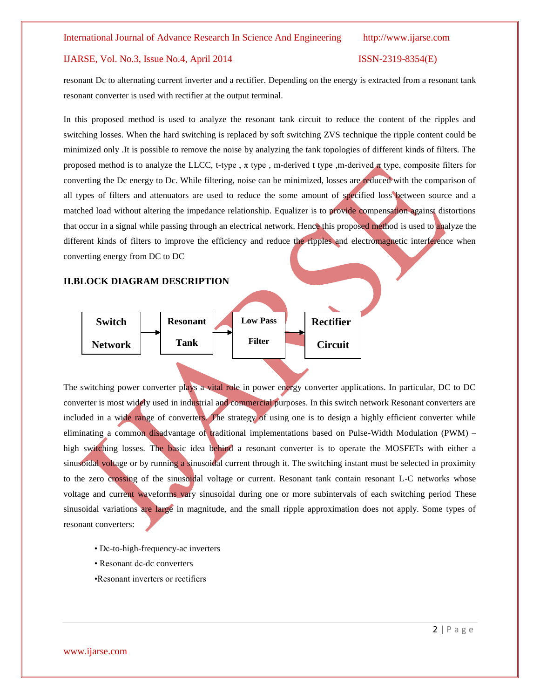resonant Dc to alternating current inverter and a rectifier. Depending on the energy is extracted from a resonant tank resonant converter is used with rectifier at the output terminal.

In this proposed method is used to analyze the resonant tank circuit to reduce the content of the ripples and switching losses. When the hard switching is replaced by soft switching ZVS technique the ripple content could be minimized only .It is possible to remove the noise by analyzing the tank topologies of different kinds of filters. The proposed method is to analyze the LLCC, t-type,  $\pi$  type, m-derived t type, m-derived  $\pi$  type, composite filters for converting the Dc energy to Dc. While filtering, noise can be minimized, losses are reduced with the comparison of all types of filters and attenuators are used to reduce the some amount of specified loss between source and a matched load without altering the impedance relationship. Equalizer is to provide compensation against distortions that occur in a signal while passing through an electrical network. Hence this proposed method is used to analyze the different kinds of filters to improve the efficiency and reduce the ripples and electromagnetic interference when converting energy from DC to DC

# **II.BLOCK DIAGRAM DESCRIPTION**



The switching power converter plays a vital role in power energy converter applications. In particular, DC to DC converter is most widely used in industrial and commercial purposes. In this switch network Resonant converters are included in a wide range of converters. The strategy of using one is to design a highly efficient converter while eliminating a common disadvantage of traditional implementations based on Pulse-Width Modulation (PWM) – high switching losses. The basic idea behind a resonant converter is to operate the MOSFETs with either a sinusoidal voltage or by running a sinusoidal current through it. The switching instant must be selected in proximity to the zero crossing of the sinusoidal voltage or current. Resonant tank contain resonant L-C networks whose voltage and current waveforms vary sinusoidal during one or more subintervals of each switching period These sinusoidal variations are large in magnitude, and the small ripple approximation does not apply. Some types of resonant converters:

- Dc-to-high-frequency-ac inverters
- Resonant dc-dc converters
- •Resonant inverters or rectifiers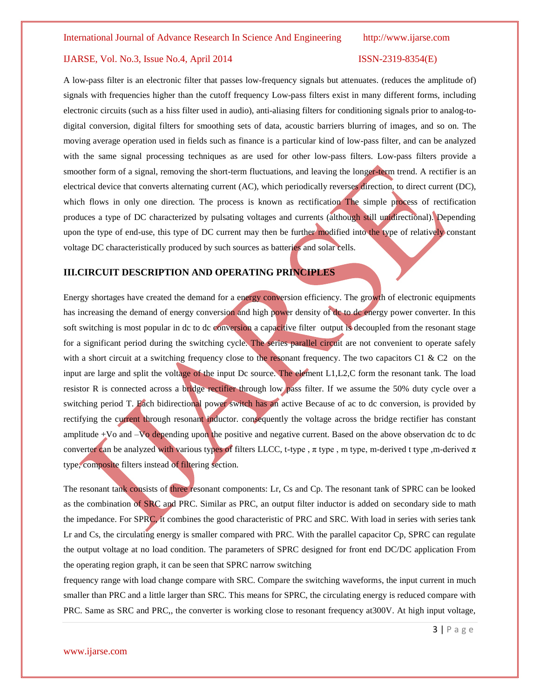A low-pass filter is an [electronic filter](http://en.wikipedia.org/wiki/Filter_%28signal_processing%29) that passes low[-frequency](http://en.wikipedia.org/wiki/Frequency) [signals](http://en.wikipedia.org/wiki/Signal_%28electrical_engineering%29) but [attenuates.](http://en.wikipedia.org/wiki/Attenuate) (reduces the [amplitude](http://en.wikipedia.org/wiki/Amplitude) of) signals with frequencies higher than the [cutoff frequency](http://en.wikipedia.org/wiki/Cutoff_frequency) Low-pass filters exist in many different forms, including electronic circuits (such as a hiss filter used in [audio\)](http://en.wikipedia.org/wiki/Sound_recording)[, anti-aliasing filters](http://en.wikipedia.org/wiki/Anti-aliasing_filter) for conditioning signals prior to [analog-to](http://en.wikipedia.org/wiki/Analog-to-digital_conversion)[digital conversion,](http://en.wikipedia.org/wiki/Analog-to-digital_conversion) [digital filters](http://en.wikipedia.org/wiki/Digital_filter) for smoothing sets of data, acoustic barriers blurring of images, and so on. The [moving average](http://en.wikipedia.org/wiki/Moving_average_%28finance%29) operation used in fields such as finance is a particular kind of low-pass filter, and can be analyzed with the same [signal processing](http://en.wikipedia.org/wiki/Signal_processing) techniques as are used for other low-pass filters. Low-pass filters provide a smoother form of a signal, removing the short-term fluctuations, and leaving the longer-term trend. A rectifier is an electrical device that [converts](http://en.wikipedia.org/wiki/Electric_power_conversion) [alternating current](http://en.wikipedia.org/wiki/Alternating_current) (AC), which periodically reverses direction, to [direct current](http://en.wikipedia.org/wiki/Direct_current) (DC), which flows in only one direction. The process is known as rectification The simple process of rectification produces a type of DC characterized by pulsating voltages and currents (although still unidirectional). Depending upon the type of end-use, this type of DC current may then be further modified into the type of relatively constant voltage DC characteristically produced by such sources as [batteries](http://en.wikipedia.org/wiki/Battery_%28electrical%29) and [solar cells.](http://en.wikipedia.org/wiki/Solar_cell)

# **III.CIRCUIT DESCRIPTION AND OPERATING PRINCIPLES**

Energy shortages have created the demand for a energy conversion efficiency. The growth of electronic equipments has increasing the demand of energy conversion and high power density of dc to dc energy power converter. In this soft switching is most popular in dc to dc conversion a capacitive filter output is decoupled from the resonant stage for a significant period during the switching cycle. The series parallel circuit are not convenient to operate safely with a short circuit at a switching frequency close to the resonant frequency. The two capacitors C1  $\&$  C2 on the input are large and split the voltage of the input Dc source. The element L1,L2,C form the resonant tank. The load resistor R is connected across a bridge rectifier through low pass filter. If we assume the 50% duty cycle over a switching period T. Each bidirectional power switch has an active Because of ac to dc conversion, is provided by rectifying the current through resonant inductor. consequently the voltage across the bridge rectifier has constant amplitude +Vo and –Vo depending upon the positive and negative current. Based on the above observation dc to dc converter can be analyzed with various types of filters LLCC, t-type,  $\pi$  type, m type, m-derived t type, m-derived  $\pi$ type, composite filters instead of filtering section.

The resonant tank consists of three resonant components: Lr, Cs and Cp. The resonant tank of SPRC can be looked as the combination of SRC and PRC. Similar as PRC, an output filter inductor is added on secondary side to math the impedance. For SPRC, it combines the good characteristic of PRC and SRC. With load in series with series tank Lr and Cs, the circulating energy is smaller compared with PRC. With the parallel capacitor Cp, SPRC can regulate the output voltage at no load condition. The parameters of SPRC designed for front end DC/DC application From the operating region graph, it can be seen that SPRC narrow switching

frequency range with load change compare with SRC. Compare the switching waveforms, the input current in much smaller than PRC and a little larger than SRC. This means for SPRC, the circulating energy is reduced compare with PRC. Same as SRC and PRC,, the converter is working close to resonant frequency at300V. At high input voltage,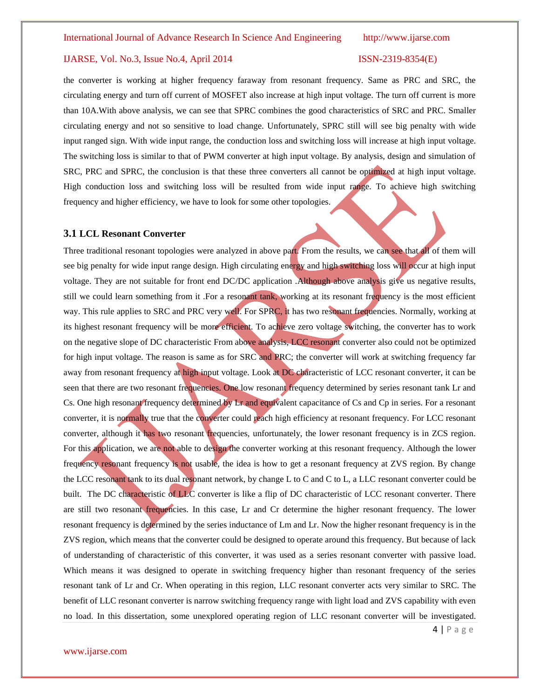the converter is working at higher frequency faraway from resonant frequency. Same as PRC and SRC, the circulating energy and turn off current of MOSFET also increase at high input voltage. The turn off current is more than 10A.With above analysis, we can see that SPRC combines the good characteristics of SRC and PRC. Smaller circulating energy and not so sensitive to load change. Unfortunately, SPRC still will see big penalty with wide input ranged sign. With wide input range, the conduction loss and switching loss will increase at high input voltage. The switching loss is similar to that of PWM converter at high input voltage. By analysis, design and simulation of SRC, PRC and SPRC, the conclusion is that these three converters all cannot be optimized at high input voltage. High conduction loss and switching loss will be resulted from wide input range. To achieve high switching frequency and higher efficiency, we have to look for some other topologies.

# **3.1 LCL Resonant Converter**

Three traditional resonant topologies were analyzed in above part. From the results, we can see that all of them will see big penalty for wide input range design. High circulating energy and high switching loss will occur at high input voltage. They are not suitable for front end DC/DC application . Although above analysis give us negative results, still we could learn something from it .For a resonant tank, working at its resonant frequency is the most efficient way. This rule applies to SRC and PRC very well. For SPRC, it has two resonant frequencies. Normally, working at its highest resonant frequency will be more efficient. To achieve zero voltage switching, the converter has to work on the negative slope of DC characteristic From above analysis, LCC resonant converter also could not be optimized for high input voltage. The reason is same as for SRC and PRC; the converter will work at switching frequency far away from resonant frequency at high input voltage. Look at DC characteristic of LCC resonant converter, it can be seen that there are two resonant frequencies. One low resonant frequency determined by series resonant tank Lr and Cs. One high resonant frequency determined by Lr and equivalent capacitance of Cs and Cp in series. For a resonant converter, it is normally true that the converter could reach high efficiency at resonant frequency. For LCC resonant converter, although it has two resonant frequencies, unfortunately, the lower resonant frequency is in ZCS region. For this application, we are not able to design the converter working at this resonant frequency. Although the lower frequency resonant frequency is not usable, the idea is how to get a resonant frequency at ZVS region. By change the LCC resonant tank to its dual resonant network, by change L to C and C to L, a LLC resonant converter could be built. The DC characteristic of LLC converter is like a flip of DC characteristic of LCC resonant converter. There are still two resonant frequencies. In this case, Lr and Cr determine the higher resonant frequency. The lower resonant frequency is determined by the series inductance of Lm and Lr. Now the higher resonant frequency is in the ZVS region, which means that the converter could be designed to operate around this frequency. But because of lack of understanding of characteristic of this converter, it was used as a series resonant converter with passive load. Which means it was designed to operate in switching frequency higher than resonant frequency of the series resonant tank of Lr and Cr. When operating in this region, LLC resonant converter acts very similar to SRC. The benefit of LLC resonant converter is narrow switching frequency range with light load and ZVS capability with even no load. In this dissertation, some unexplored operating region of LLC resonant converter will be investigated.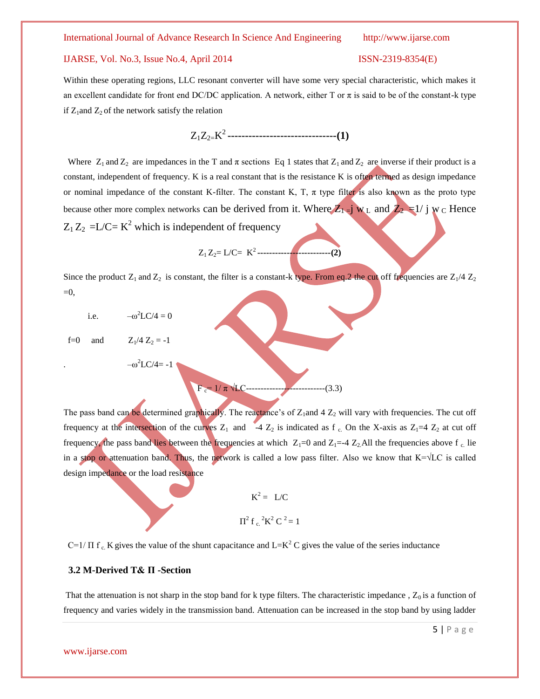# IJARSE, Vol. No.3, Issue No.4, April 2014 ISSN-2319-8354(E)

Within these operating regions, LLC resonant converter will have some very special characteristic, which makes it an excellent candidate for front end DC/DC application. A network, either T or  $\pi$  is said to be of the constant-k type if  $Z_1$  and  $Z_2$  of the network satisfy the relation

Z1Z2=K 2 **-------------------------------(1)**

Where  $Z_1$  and  $Z_2$  are impedances in the T and  $\pi$  sections Eq 1 states that  $Z_1$  and  $Z_2$  are inverse if their product is a constant, independent of frequency. K is a real constant that is the resistance K is often termed as design impedance or nominal impedance of the constant K-filter. The constant K, T,  $\pi$  type filter is also known as the proto type because other more complex networks can be derived from it. Where  $Z_1 = j w_L$  and  $Z_2 = 1/j w_C$  Hence

 $Z_1 Z_2 = L/C = K^2$  which is independent of frequency

Z1 Z2= L/C= K<sup>2</sup> **-------------------------(2)**

Since the product  $Z_1$  and  $Z_2$  is constant, the filter is a constant-k type. From eq.2 the cut off frequencies are  $Z_1/4$   $Z_2$  $=0,$ 

i.e.  $-\omega^2 LC/4 = 0$ 

f=0 and  $Z_1/4 Z_2 = -1$ 

.  $-\omega^2 LC/4 = -1$ 

The pass band can be determined graphically. The reactance's of  $Z_1$  and 4  $Z_2$  will vary with frequencies. The cut off frequency at the intersection of the curves  $Z_1$  and  $-4 Z_2$  is indicated as f c. On the X-axis as  $Z_1=4 Z_2$  at cut off frequency, the pass band lies between the frequencies at which  $Z_1=0$  and  $Z_1=-4$   $Z_2$  All the frequencies above f c. lie in a stop or attenuation band. Thus, the network is called a low pass filter. Also we know that  $K=\sqrt{LC}$  is called design impedance or the load resistance

F c= 1/ π √LC---------------------------(3.3)

$$
K^2 = L/C
$$
  

$$
\Pi^2 f_c^2 K^2 C^2 = 1
$$

C=1/ Π f c. K gives the value of the shunt capacitance and L=K<sup>2</sup> C gives the value of the series inductance

# **3.2 M-Derived T& Π -Section**

That the attenuation is not sharp in the stop band for k type filters. The characteristic impedance ,  $Z_0$  is a function of frequency and varies widely in the transmission band. Attenuation can be increased in the stop band by using ladder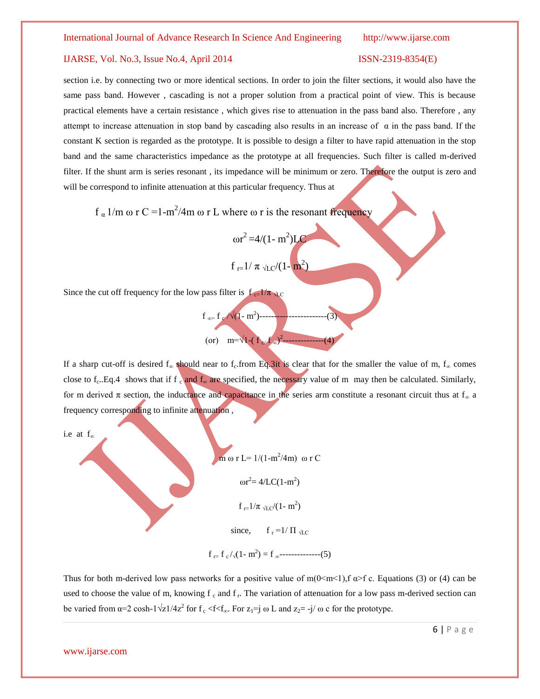section i.e. by connecting two or more identical sections. In order to join the filter sections, it would also have the same pass band. However , cascading is not a proper solution from a practical point of view. This is because practical elements have a certain resistance , which gives rise to attenuation in the pass band also. Therefore , any attempt to increase attenuation in stop band by cascading also results in an increase of  $\alpha$  in the pass band. If the constant K section is regarded as the prototype. It is possible to design a filter to have rapid attenuation in the stop band and the same characteristics impedance as the prototype at all frequencies. Such filter is called m-derived filter. If the shunt arm is series resonant , its impedance will be minimum or zero. Therefore the output is zero and will be correspond to infinite attenuation at this particular frequency. Thus at

f  $\alpha$  1/m ω r C = 1-m<sup>2</sup>/4m ω r L where ω r is the resonant frequency

or<sup>2</sup> = 4/(1- m<sup>2</sup>)**L**C  
f<sub>r=</sub>1/
$$
\pi
$$
  $\sqrt{LC}/(1-m^2)$ 

Since the cut off frequency for the low pass filter is  $f_{c=1}/\pi$   $_{NLC}$ 

$$
f_{\infty} = f_{\infty}/\sqrt{(1-m^2)\cdot\cdots}
$$
 (3)  
(or) m= $\sqrt{1-(f_{\infty}/f_{\infty})^2}$  (4)

If a sharp cut-off is desired  $f_{\infty}$  should near to  $f_c$  from Eq.3it is clear that for the smaller the value of m,  $f_{\infty}$  comes close to f<sub>c</sub>..Eq.4 shows that if f c and f<sub>∞</sub> are specified, the necessary value of m may then be calculated. Similarly, for m derived  $\pi$  section, the inductance and capacitance in the series arm constitute a resonant circuit thus at  $f_{\infty}$  a frequency corresponding to infinite attenuation ,

i.e at  $f_\infty$ 

m ω r L= 1/(1-m 2 /4m) ω r C ωr<sup>2</sup> = 4/LC(1-m 2 ) f r=1/π √LC/(1- m 2 ) since, f <sup>r</sup> =1/ Π √LC f r= f c /√(1- m 2 ) = f ∞--------------(5)

Thus for both m-derived low pass networks for a positive value of m(0  $\leq$  m  $\leq$  for  $\leq$  e. Equations (3) or (4) can be used to choose the value of m, knowing  $f_c$  and  $f_r$ . The variation of attenuation for a low pass m-derived section can be varied from  $\alpha=2 \cosh(-1) \sqrt{z} \frac{1}{4z^2}$  for  $f_c \lt f \lt f_\infty$ . For  $z_1 = j$   $\omega$  L and  $z_2 = -j/\omega$  c for the prototype.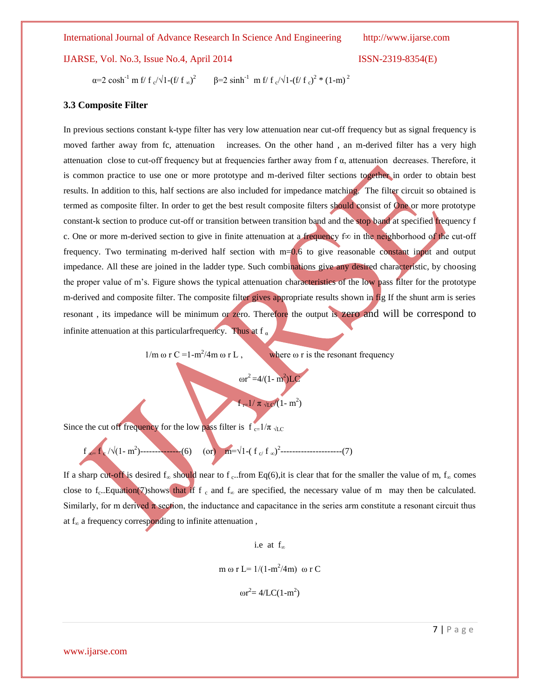# IJARSE, Vol. No.3, Issue No.4, April 2014 ISSN-2319-8354(E)

 $\alpha$ =2 cosh<sup>-1</sup> m f/ f  $\sqrt{1-(f/f_{\infty})^2}$   $\beta$ =2 sinh<sup>-1</sup> m f/ f  $\sqrt{1-(f/f_{\infty})^2}$  \* (1-m)<sup>2</sup>

### **3.3 Composite Filter**

In previous sections constant k-type filter has very low attenuation near cut-off frequency but as signal frequency is moved farther away from fc, attenuation increases. On the other hand , an m-derived filter has a very high attenuation close to cut-off frequency but at frequencies farther away from f  $\alpha$ , attenuation decreases. Therefore, it is common practice to use one or more prototype and m-derived filter sections together in order to obtain best results. In addition to this, half sections are also included for impedance matching. The filter circuit so obtained is termed as composite filter. In order to get the best result composite filters should consist of One or more prototype constant-k section to produce cut-off or transition between transition band and the stop band at specified frequency f c. One or more m-derived section to give in finite attenuation at a frequency f∞ in the neighborhood of the cut-off frequency. Two terminating m-derived half section with m=0.6 to give reasonable constant input and output impedance. All these are joined in the ladder type. Such combinations give any desired characteristic, by choosing the proper value of m's. Figure shows the typical attenuation characteristics of the low pass filter for the prototype m-derived and composite filter. The composite filter gives appropriate results shown in fig If the shunt arm is series resonant , its impedance will be minimum or zero. Therefore the output is zero and will be correspond to infinite attenuation at this particular frequency. Thus at f  $\alpha$ 

> $1/m \omega r C = 1-m^2$ where  $\omega$  r is the resonant frequency

> > $\omega r^2 = 4/(1 - m^2) L C$

 $f_{\rm r=1}/\pi$  <sub>√LC</sub>/(1- m<sup>2</sup>)

Since the cut off frequency for the low pass filter is  $f_{c=1}/\pi \sqrt{LC}$ 

 $f_{\infty} = f_{\infty}/\sqrt{(1-m^2) \dots (6)}$  (or) m= $\sqrt{1-(f_{c}/f_{\infty})^2 \dots (7)}$ 

If a sharp cut-off is desired  $f_{\infty}$  should near to f c. from Eq(6), it is clear that for the smaller the value of m,  $f_{\infty}$  comes close to f<sub>c</sub>..Equation(7)shows that if f c and f<sub>∞</sub> are specified, the necessary value of m may then be calculated. Similarly, for m derived  $\pi$  section, the inductance and capacitance in the series arm constitute a resonant circuit thus at  $f_{\infty}$  a frequency corresponding to infinite attenuation,

> i.e at f<sup>∞</sup> m ω r L=  $1/(1-m^2/4m)$  ω r C  $\omega r^2 = 4/LC(1-m^2)$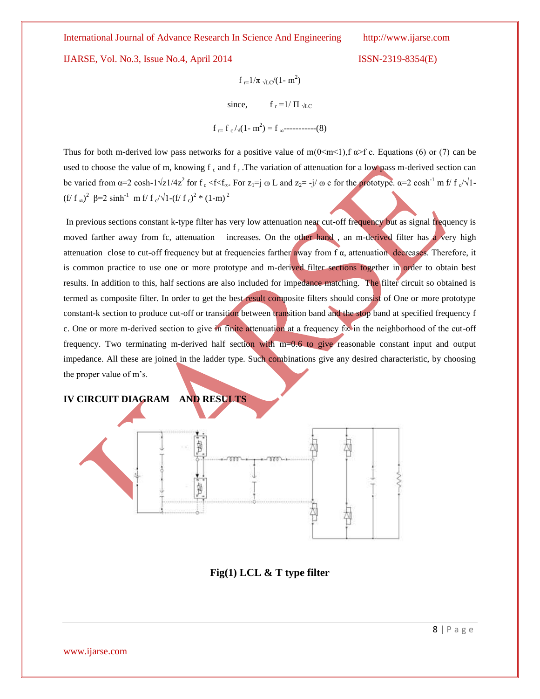IJARSE, Vol. No.3, Issue No.4, April 2014 ISSN-2319-8354(E)

$$
f_{r=1}/\pi \sqrt{LC}/(1 - m^2)
$$
  
since,  $f_r = 1/\Pi \sqrt{LC}$   
 $f_{r=1} f_c/\sqrt{(1 - m^2)} = f_{\infty}$ ........(8)

Thus for both m-derived low pass networks for a positive value of m(0  $\leq$  m  $\leq$  c. Equations (6) or (7) can be used to choose the value of m, knowing  $f_c$  and  $f_r$ . The variation of attenuation for a low pass m-derived section can be varied from  $\alpha=2 \cosh(-1) \frac{1}{4z^2}$  for  $f_c < f < f_\infty$ . For  $z_1 = j$   $\omega$  L and  $z_2 = -j/\omega$  c for the prototype.  $\alpha=2 \cosh^{-1} m$  f/  $f_c \sqrt{1-\frac{1}{2} m^2}$ (f/ f  $_{\infty}$ )<sup>2</sup>  $\beta$ =2 sinh<sup>-1</sup> m f/ f  $_{c}/\sqrt{1-(f/f_c)^2}$  \* (1-m)<sup>2</sup>

In previous sections constant k-type filter has very low attenuation near cut-off frequency but as signal frequency is moved farther away from fc, attenuation increases. On the other hand, an m-derived filter has a very high attenuation close to cut-off frequency but at frequencies farther away from f  $α$ , attenuation decreases. Therefore, it is common practice to use one or more prototype and m-derived filter sections together in order to obtain best results. In addition to this, half sections are also included for impedance matching. The filter circuit so obtained is termed as composite filter. In order to get the best result composite filters should consist of One or more prototype constant-k section to produce cut-off or transition between transition band and the stop band at specified frequency f c. One or more m-derived section to give in finite attenuation at a frequency f∞ in the neighborhood of the cut-off frequency. Two terminating m-derived half section with m=0.6 to give reasonable constant input and output impedance. All these are joined in the ladder type. Such combinations give any desired characteristic, by choosing the proper value of m's.

# **IV CIRCUIT DIAGRAM AND RESULTS**



# **Fig(1) LCL & T type filter**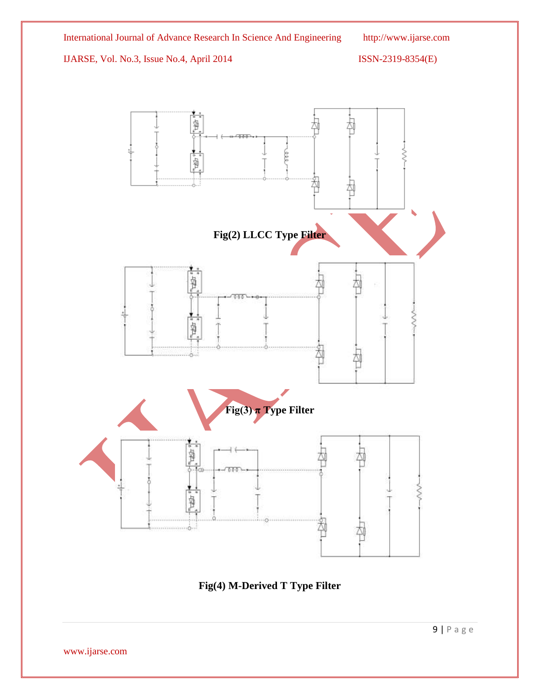

**Fig(4) M-Derived T Type Filter**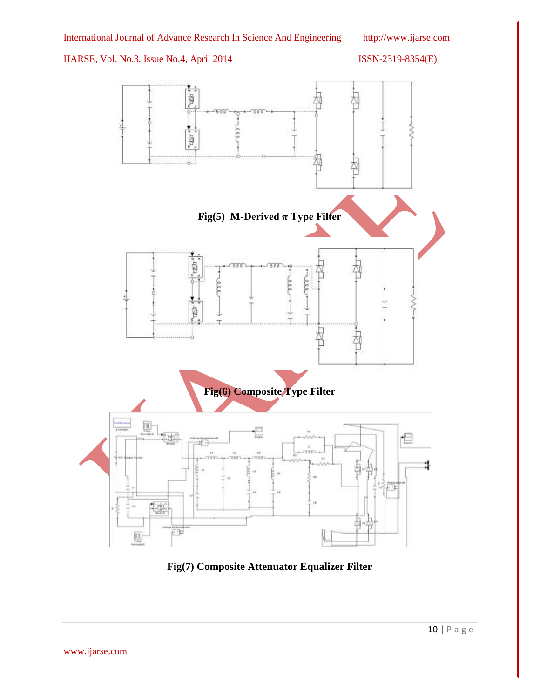



**Fig(7) Composite Attenuator Equalizer Filter**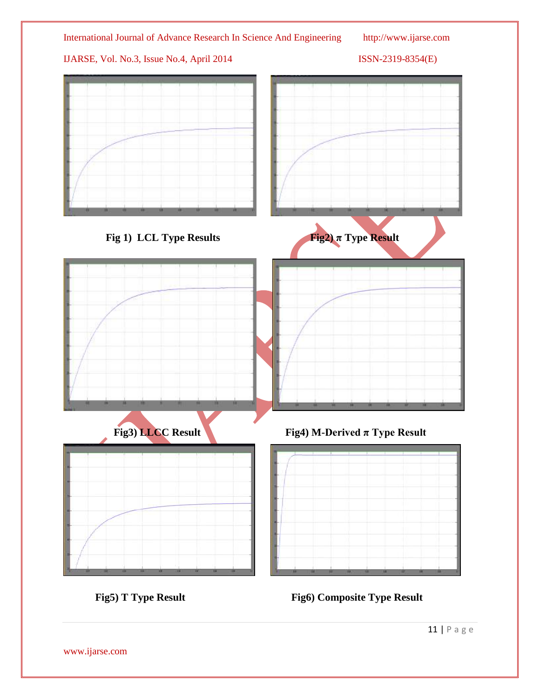





11 | P a g e

www.ijarse.com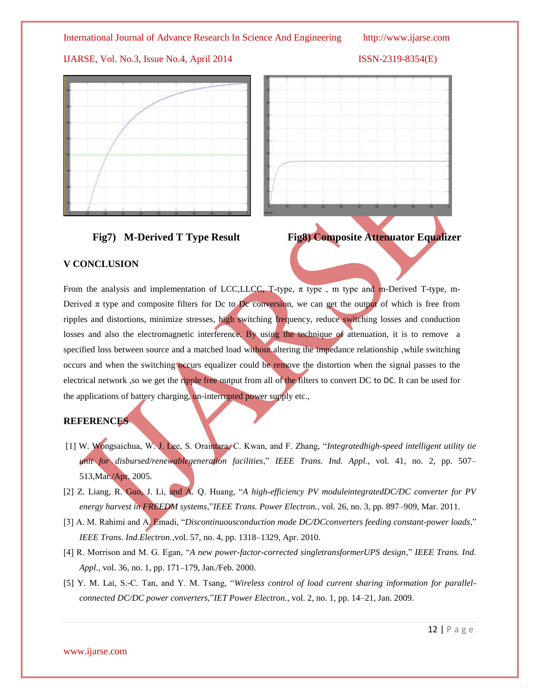# IJARSE, Vol. No.3, Issue No.4, April 2014 ISSN-2319-8354(E)



# **V CONCLUSION**



**Fig7)** M-Derived T Type Result Fig8) Composite Attenuator Equalizer

From the analysis and implementation of LCC,LLCC, T-type, π type , m type and m-Derived T-type, m-Derived  $\pi$  type and composite filters for Dc to Dc conversion, we can get the output of which is free from ripples and distortions, minimize stresses, high switching frequency, reduce switching losses and conduction losses and also the electromagnetic interference. By using the technique of attenuation, it is to remove a specified loss between source and a matched load without altering the impedance relationship , while switching occurs and when the switching occurs equalizer could be remove the distortion when the signal passes to the electrical network ,so we get the ripple free output from all of the filters to convert DC to DC. It can be used for the applications of battery charging, un-interrupted power supply etc.,

# **REFERENCES**

- [1] W. Wongsaichua, W. J. Lee, S. Oraintara, C. Kwan, and F. Zhang, "*Integratedhigh-speed intelligent utility tie unit for disbursed/renewablegeneration facilities*," *IEEE Trans. Ind. Appl.*, vol. 41, no. 2, pp. 507– 513,Mar./Apr. 2005.
- [2] Z. Liang, R. Guo, J. Li, and A. Q. Huang, "*A high-efficiency PV moduleintegratedDC/DC converter for PV energy harvest in FREEDM systems*,"*IEEE Trans. Power Electron.*, vol. 26, no. 3, pp. 897–909, Mar. 2011.
- [3] A. M. Rahimi and A. Emadi, "*Discontinuousconduction mode DC/DCconverters feeding constant-power loads*," *IEEE Trans. Ind.Electron.*,vol. 57, no. 4, pp. 1318–1329, Apr. 2010.
- [4] R. Morrison and M. G. Egan, "*A new power-factor-corrected singletransformerUPS design*," *IEEE Trans. Ind. Appl.*, vol. 36, no. 1, pp. 171–179, Jan./Feb. 2000.
- [5] Y. M. Lai, S.-C. Tan, and Y. M. Tsang, "*Wireless control of load current sharing information for parallelconnected DC/DC power converters,*"*IET Power Electron.*, vol. 2, no. 1, pp. 14–21, Jan. 2009.